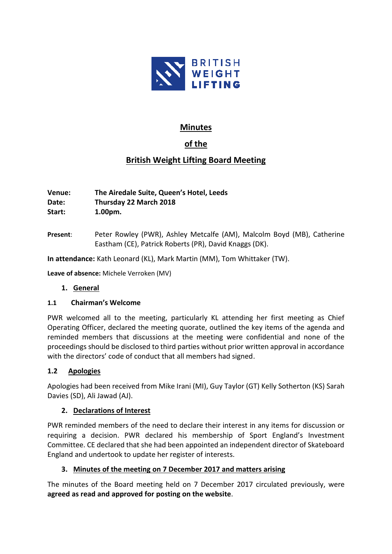

# **Minutes**

# **of the**

# **British Weight Lifting Board Meeting**

**Venue: The Airedale Suite, Queen's Hotel, Leeds Date: Thursday 22 March 2018 Start: 1.00pm.**

**Present**: Peter Rowley (PWR), Ashley Metcalfe (AM), Malcolm Boyd (MB), Catherine Eastham (CE), Patrick Roberts (PR), David Knaggs (DK).

**In attendance:** Kath Leonard (KL), Mark Martin (MM), Tom Whittaker (TW).

**Leave of absence:** Michele Verroken (MV)

### **1. General**

### **1.1 Chairman's Welcome**

PWR welcomed all to the meeting, particularly KL attending her first meeting as Chief Operating Officer, declared the meeting quorate, outlined the key items of the agenda and reminded members that discussions at the meeting were confidential and none of the proceedings should be disclosed to third parties without prior written approval in accordance with the directors' code of conduct that all members had signed.

### **1.2 Apologies**

Apologies had been received from Mike Irani (MI), Guy Taylor (GT) Kelly Sotherton (KS) Sarah Davies (SD), Ali Jawad (AJ).

### **2. Declarations of Interest**

PWR reminded members of the need to declare their interest in any items for discussion or requiring a decision. PWR declared his membership of Sport England's Investment Committee. CE declared that she had been appointed an independent director of Skateboard England and undertook to update her register of interests.

### **3. Minutes of the meeting on 7 December 2017 and matters arising**

The minutes of the Board meeting held on 7 December 2017 circulated previously, were **agreed as read and approved for posting on the website**.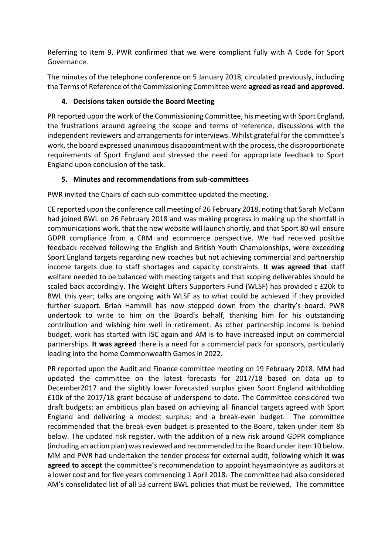Referring to item 9, PWR confirmed that we were compliant fully with A Code for Sport Governance.

The minutes of the telephone conference on 5 January 2018, circulated previously, including the Terms of Reference of the Commissioning Committee were **agreed as read and approved.**

## **4. Decisions taken outside the Board Meeting**

PR reported upon the work of the Commissioning Committee, his meeting with Sport England, the frustrations around agreeing the scope and terms of reference, discussions with the independent reviewers and arrangements for interviews. Whilst grateful for the committee's work, the board expressed unanimous disappointment with the process, the disproportionate requirements of Sport England and stressed the need for appropriate feedback to Sport England upon conclusion of the task.

## **5. Minutes and recommendations from sub-committees**

PWR invited the Chairs of each sub-committee updated the meeting.

CE reported upon the conference call meeting of 26 February 2018, noting that Sarah McCann had joined BWL on 26 February 2018 and was making progress in making up the shortfall in communications work, that the new website will launch shortly, and that Sport 80 will ensure GDPR compliance from a CRM and ecommerce perspective. We had received positive feedback received following the English and British Youth Championships, were exceeding Sport England targets regarding new coaches but not achieving commercial and partnership income targets due to staff shortages and capacity constraints. **It was agreed that** staff welfare needed to be balanced with meeting targets and that scoping deliverables should be scaled back accordingly. The Weight Lifters Supporters Fund (WLSF) has provided c £20k to BWL this year; talks are ongoing with WLSF as to what could be achieved if they provided further support. Brian Hammill has now stepped down from the charity's board. PWR undertook to write to him on the Board's behalf, thanking him for his outstanding contribution and wishing him well in retirement. As other partnership income is behind budget, work has started with ISC again and AM is to have increased input on commercial partnerships. **It was agreed** there is a need for a commercial pack for sponsors, particularly leading into the home Commonwealth Games in 2022.

PR reported upon the Audit and Finance committee meeting on 19 February 2018. MM had updated the committee on the latest forecasts for 2017/18 based on data up to December2017 and the slightly lower forecasted surplus given Sport England withholding £10k of the 2017/18 grant because of underspend to date. The Committee considered two draft budgets: an ambitious plan based on achieving all financial targets agreed with Sport England and delivering a modest surplus; and a break-even budget. The committee recommended that the break-even budget is presented to the Board, taken under item 8b below. The updated risk register, with the addition of a new risk around GDPR compliance (including an action plan) was reviewed and recommended to the Board under item 10 below. MM and PWR had undertaken the tender process for external audit, following which **it was agreed to accept** the committee's recommendation to appoint haysmacintyre as auditors at a lower cost and for five years commencing 1 April 2018. The committee had also considered AM's consolidated list of all 53 current BWL policies that must be reviewed. The committee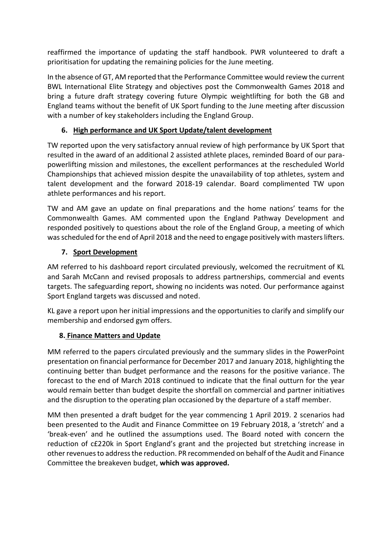reaffirmed the importance of updating the staff handbook. PWR volunteered to draft a prioritisation for updating the remaining policies for the June meeting.

In the absence of GT, AM reported that the Performance Committee would review the current BWL International Elite Strategy and objectives post the Commonwealth Games 2018 and bring a future draft strategy covering future Olympic weightlifting for both the GB and England teams without the benefit of UK Sport funding to the June meeting after discussion with a number of key stakeholders including the England Group.

## **6. High performance and UK Sport Update/talent development**

TW reported upon the very satisfactory annual review of high performance by UK Sport that resulted in the award of an additional 2 assisted athlete places, reminded Board of our parapowerlifting mission and milestones, the excellent performances at the rescheduled World Championships that achieved mission despite the unavailability of top athletes, system and talent development and the forward 2018-19 calendar. Board complimented TW upon athlete performances and his report.

TW and AM gave an update on final preparations and the home nations' teams for the Commonwealth Games. AM commented upon the England Pathway Development and responded positively to questions about the role of the England Group, a meeting of which was scheduled for the end of April 2018 and the need to engage positively with masters lifters.

## **7. Sport Development**

AM referred to his dashboard report circulated previously, welcomed the recruitment of KL and Sarah McCann and revised proposals to address partnerships, commercial and events targets. The safeguarding report, showing no incidents was noted. Our performance against Sport England targets was discussed and noted.

KL gave a report upon her initial impressions and the opportunities to clarify and simplify our membership and endorsed gym offers.

### **8. Finance Matters and Update**

MM referred to the papers circulated previously and the summary slides in the PowerPoint presentation on financial performance for December 2017 and January 2018, highlighting the continuing better than budget performance and the reasons for the positive variance. The forecast to the end of March 2018 continued to indicate that the final outturn for the year would remain better than budget despite the shortfall on commercial and partner initiatives and the disruption to the operating plan occasioned by the departure of a staff member.

MM then presented a draft budget for the year commencing 1 April 2019. 2 scenarios had been presented to the Audit and Finance Committee on 19 February 2018, a 'stretch' and a 'break-even' and he outlined the assumptions used. The Board noted with concern the reduction of c£220k in Sport England's grant and the projected but stretching increase in other revenues to address the reduction. PR recommended on behalf of the Audit and Finance Committee the breakeven budget, **which was approved.**